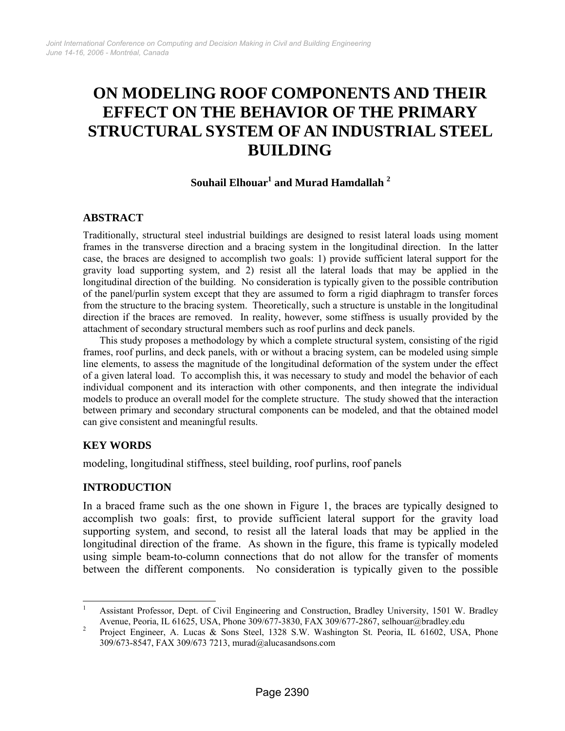# **ON MODELING ROOF COMPONENTS AND THEIR EFFECT ON THE BEHAVIOR OF THE PRIMARY STRUCTURAL SYSTEM OF AN INDUSTRIAL STEEL BUILDING**

## ${\bf Souhail Elhouar}^1$  and  ${\bf Murad\ Hamdallah}$   $^2$

#### **ABSTRACT**

Traditionally, structural steel industrial buildings are designed to resist lateral loads using moment frames in the transverse direction and a bracing system in the longitudinal direction. In the latter case, the braces are designed to accomplish two goals: 1) provide sufficient lateral support for the gravity load supporting system, and 2) resist all the lateral loads that may be applied in the longitudinal direction of the building. No consideration is typically given to the possible contribution of the panel/purlin system except that they are assumed to form a rigid diaphragm to transfer forces from the structure to the bracing system. Theoretically, such a structure is unstable in the longitudinal direction if the braces are removed. In reality, however, some stiffness is usually provided by the attachment of secondary structural members such as roof purlins and deck panels.

This study proposes a methodology by which a complete structural system, consisting of the rigid frames, roof purlins, and deck panels, with or without a bracing system, can be modeled using simple line elements, to assess the magnitude of the longitudinal deformation of the system under the effect of a given lateral load. To accomplish this, it was necessary to study and model the behavior of each individual component and its interaction with other components, and then integrate the individual models to produce an overall model for the complete structure. The study showed that the interaction between primary and secondary structural components can be modeled, and that the obtained model can give consistent and meaningful results.

### **KEY WORDS**

modeling, longitudinal stiffness, steel building, roof purlins, roof panels

### **INTRODUCTION**

In a braced frame such as the one shown in Figure 1, the braces are typically designed to accomplish two goals: first, to provide sufficient lateral support for the gravity load supporting system, and second, to resist all the lateral loads that may be applied in the longitudinal direction of the frame. As shown in the figure, this frame is typically modeled using simple beam-to-column connections that do not allow for the transfer of moments between the different components. No consideration is typically given to the possible

 $\frac{1}{1}$  Assistant Professor, Dept. of Civil Engineering and Construction, Bradley University, 1501 W. Bradley Avenue, Peoria, IL 61625, USA, Phone 309/677-3830, FAX 309/677-2867, selhouar@bradley.edu 2<br>Project Engineer, A. Luggs, & Sons Steel, 1328, S.W. Weshington St. Peoris, H. 61602, USA

Project Engineer, A. Lucas & Sons Steel, 1328 S.W. Washington St. Peoria, IL 61602, USA, Phone 309/673-8547, FAX 309/673 7213, murad@alucasandsons.com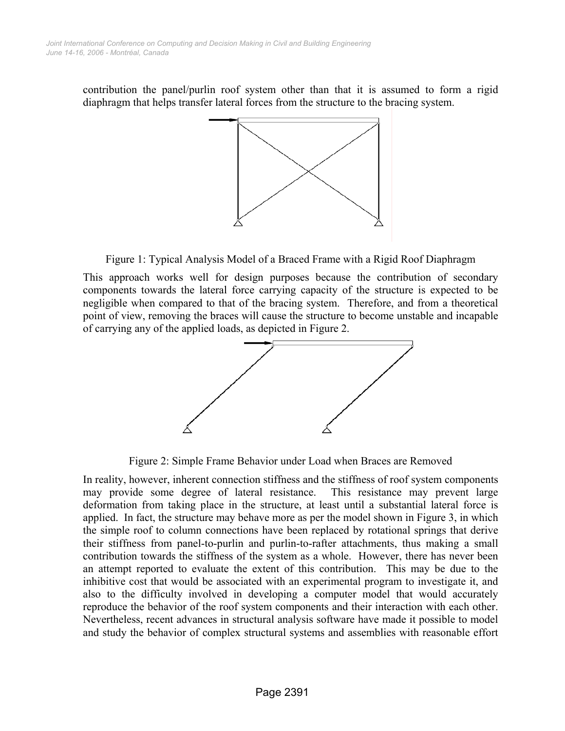contribution the panel/purlin roof system other than that it is assumed to form a rigid diaphragm that helps transfer lateral forces from the structure to the bracing system.



Figure 1: Typical Analysis Model of a Braced Frame with a Rigid Roof Diaphragm

This approach works well for design purposes because the contribution of secondary components towards the lateral force carrying capacity of the structure is expected to be negligible when compared to that of the bracing system. Therefore, and from a theoretical point of view, removing the braces will cause the structure to become unstable and incapable of carrying any of the applied loads, as depicted in Figure 2.



Figure 2: Simple Frame Behavior under Load when Braces are Removed

In reality, however, inherent connection stiffness and the stiffness of roof system components may provide some degree of lateral resistance. This resistance may prevent large deformation from taking place in the structure, at least until a substantial lateral force is applied. In fact, the structure may behave more as per the model shown in Figure 3, in which the simple roof to column connections have been replaced by rotational springs that derive their stiffness from panel-to-purlin and purlin-to-rafter attachments, thus making a small contribution towards the stiffness of the system as a whole. However, there has never been an attempt reported to evaluate the extent of this contribution. This may be due to the inhibitive cost that would be associated with an experimental program to investigate it, and also to the difficulty involved in developing a computer model that would accurately reproduce the behavior of the roof system components and their interaction with each other. Nevertheless, recent advances in structural analysis software have made it possible to model and study the behavior of complex structural systems and assemblies with reasonable effort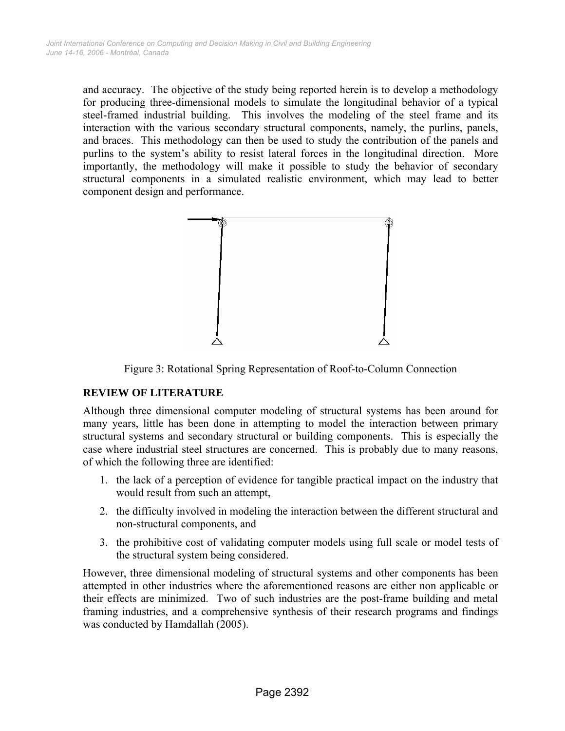and accuracy. The objective of the study being reported herein is to develop a methodology for producing three-dimensional models to simulate the longitudinal behavior of a typical steel-framed industrial building. This involves the modeling of the steel frame and its interaction with the various secondary structural components, namely, the purlins, panels, and braces. This methodology can then be used to study the contribution of the panels and purlins to the system's ability to resist lateral forces in the longitudinal direction. More importantly, the methodology will make it possible to study the behavior of secondary structural components in a simulated realistic environment, which may lead to better component design and performance.



Figure 3: Rotational Spring Representation of Roof-to-Column Connection

## **REVIEW OF LITERATURE**

Although three dimensional computer modeling of structural systems has been around for many years, little has been done in attempting to model the interaction between primary structural systems and secondary structural or building components. This is especially the case where industrial steel structures are concerned. This is probably due to many reasons, of which the following three are identified:

- 1. the lack of a perception of evidence for tangible practical impact on the industry that would result from such an attempt,
- 2. the difficulty involved in modeling the interaction between the different structural and non-structural components, and
- 3. the prohibitive cost of validating computer models using full scale or model tests of the structural system being considered.

However, three dimensional modeling of structural systems and other components has been attempted in other industries where the aforementioned reasons are either non applicable or their effects are minimized. Two of such industries are the post-frame building and metal framing industries, and a comprehensive synthesis of their research programs and findings was conducted by Hamdallah (2005).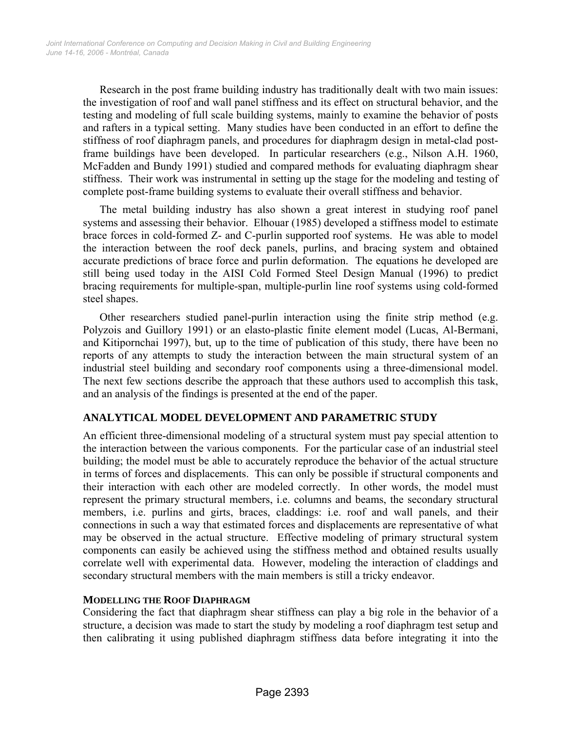Research in the post frame building industry has traditionally dealt with two main issues: the investigation of roof and wall panel stiffness and its effect on structural behavior, and the testing and modeling of full scale building systems, mainly to examine the behavior of posts and rafters in a typical setting. Many studies have been conducted in an effort to define the stiffness of roof diaphragm panels, and procedures for diaphragm design in metal-clad postframe buildings have been developed. In particular researchers (e.g., Nilson A.H. 1960, McFadden and Bundy 1991) studied and compared methods for evaluating diaphragm shear stiffness. Their work was instrumental in setting up the stage for the modeling and testing of complete post-frame building systems to evaluate their overall stiffness and behavior.

The metal building industry has also shown a great interest in studying roof panel systems and assessing their behavior. Elhouar (1985) developed a stiffness model to estimate brace forces in cold-formed Z- and C-purlin supported roof systems. He was able to model the interaction between the roof deck panels, purlins, and bracing system and obtained accurate predictions of brace force and purlin deformation. The equations he developed are still being used today in the AISI Cold Formed Steel Design Manual (1996) to predict bracing requirements for multiple-span, multiple-purlin line roof systems using cold-formed steel shapes.

Other researchers studied panel-purlin interaction using the finite strip method (e.g. Polyzois and Guillory 1991) or an elasto-plastic finite element model (Lucas, Al-Bermani, and Kitipornchai 1997), but, up to the time of publication of this study, there have been no reports of any attempts to study the interaction between the main structural system of an industrial steel building and secondary roof components using a three-dimensional model. The next few sections describe the approach that these authors used to accomplish this task, and an analysis of the findings is presented at the end of the paper.

### **ANALYTICAL MODEL DEVELOPMENT AND PARAMETRIC STUDY**

An efficient three-dimensional modeling of a structural system must pay special attention to the interaction between the various components. For the particular case of an industrial steel building; the model must be able to accurately reproduce the behavior of the actual structure in terms of forces and displacements. This can only be possible if structural components and their interaction with each other are modeled correctly. In other words, the model must represent the primary structural members, i.e. columns and beams, the secondary structural members, i.e. purlins and girts, braces, claddings: i.e. roof and wall panels, and their connections in such a way that estimated forces and displacements are representative of what may be observed in the actual structure. Effective modeling of primary structural system components can easily be achieved using the stiffness method and obtained results usually correlate well with experimental data. However, modeling the interaction of claddings and secondary structural members with the main members is still a tricky endeavor.

#### **MODELLING THE ROOF DIAPHRAGM**

Considering the fact that diaphragm shear stiffness can play a big role in the behavior of a structure, a decision was made to start the study by modeling a roof diaphragm test setup and then calibrating it using published diaphragm stiffness data before integrating it into the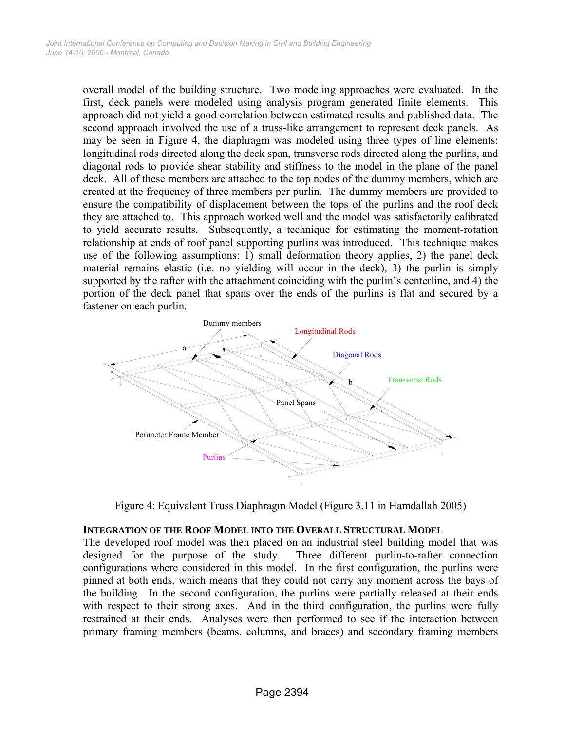overall model of the building structure. Two modeling approaches were evaluated. In the first, deck panels were modeled using analysis program generated finite elements. This approach did not yield a good correlation between estimated results and published data. The second approach involved the use of a truss-like arrangement to represent deck panels. As may be seen in Figure 4, the diaphragm was modeled using three types of line elements: longitudinal rods directed along the deck span, transverse rods directed along the purlins, and diagonal rods to provide shear stability and stiffness to the model in the plane of the panel deck. All of these members are attached to the top nodes of the dummy members, which are created at the frequency of three members per purlin. The dummy members are provided to ensure the compatibility of displacement between the tops of the purlins and the roof deck they are attached to. This approach worked well and the model was satisfactorily calibrated to yield accurate results. Subsequently, a technique for estimating the moment-rotation relationship at ends of roof panel supporting purlins was introduced. This technique makes use of the following assumptions: 1) small deformation theory applies, 2) the panel deck material remains elastic (i.e. no yielding will occur in the deck), 3) the purlin is simply supported by the rafter with the attachment coinciding with the purlin's centerline, and 4) the portion of the deck panel that spans over the ends of the purlins is flat and secured by a fastener on each purlin.



Figure 4: Equivalent Truss Diaphragm Model (Figure 3.11 in Hamdallah 2005)

### **INTEGRATION OF THE ROOF MODEL INTO THE OVERALL STRUCTURAL MODEL**

The developed roof model was then placed on an industrial steel building model that was designed for the purpose of the study. Three different purlin-to-rafter connection configurations where considered in this model. In the first configuration, the purlins were pinned at both ends, which means that they could not carry any moment across the bays of the building. In the second configuration, the purlins were partially released at their ends with respect to their strong axes. And in the third configuration, the purlins were fully restrained at their ends. Analyses were then performed to see if the interaction between primary framing members (beams, columns, and braces) and secondary framing members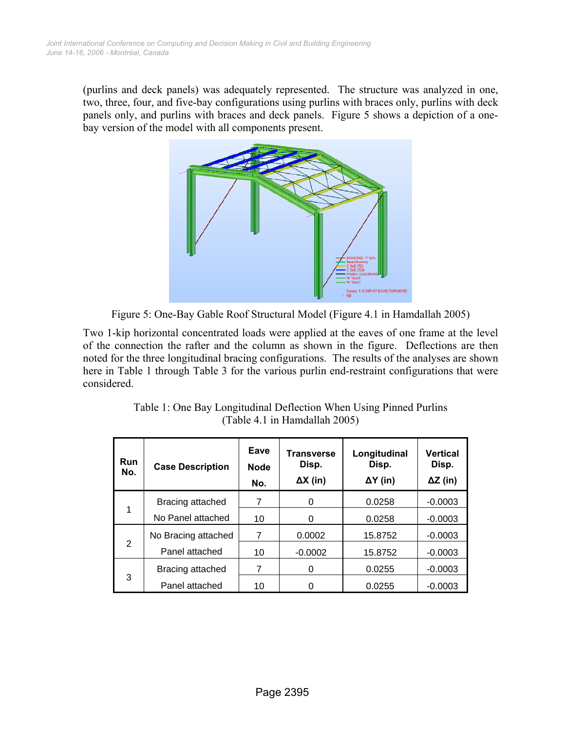(purlins and deck panels) was adequately represented. The structure was analyzed in one, two, three, four, and five-bay configurations using purlins with braces only, purlins with deck panels only, and purlins with braces and deck panels. Figure 5 shows a depiction of a onebay version of the model with all components present.



Figure 5: One-Bay Gable Roof Structural Model (Figure 4.1 in Hamdallah 2005)

Two 1-kip horizontal concentrated loads were applied at the eaves of one frame at the level of the connection the rafter and the column as shown in the figure. Deflections are then noted for the three longitudinal bracing configurations. The results of the analyses are shown here in Table 1 through Table 3 for the various purlin end-restraint configurations that were considered.

| <b>Run</b><br>No. | <b>Case Description</b> | Eave<br><b>Node</b><br>No. | <b>Transverse</b><br>Disp.<br>$\Delta X$ (in) | Longitudinal<br>Disp.<br>$\Delta Y$ (in) | <b>Vertical</b><br>Disp.<br>$\Delta Z$ (in) |
|-------------------|-------------------------|----------------------------|-----------------------------------------------|------------------------------------------|---------------------------------------------|
| 1                 | Bracing attached        | 7                          | 0                                             | 0.0258                                   | $-0.0003$                                   |
|                   | No Panel attached       | 10                         | 0                                             | 0.0258                                   | $-0.0003$                                   |
| 2                 | No Bracing attached     | 7                          | 0.0002                                        | 15.8752                                  | $-0.0003$                                   |
|                   | Panel attached          | 10                         | $-0.0002$                                     | 15.8752                                  | $-0.0003$                                   |
| 3                 | Bracing attached        | 7                          | 0                                             | 0.0255                                   | $-0.0003$                                   |
|                   | Panel attached          | 10                         |                                               | 0.0255                                   | $-0.0003$                                   |

| Table 1: One Bay Longitudinal Deflection When Using Pinned Purlins |
|--------------------------------------------------------------------|
| (Table 4.1 in Hamdallah 2005)                                      |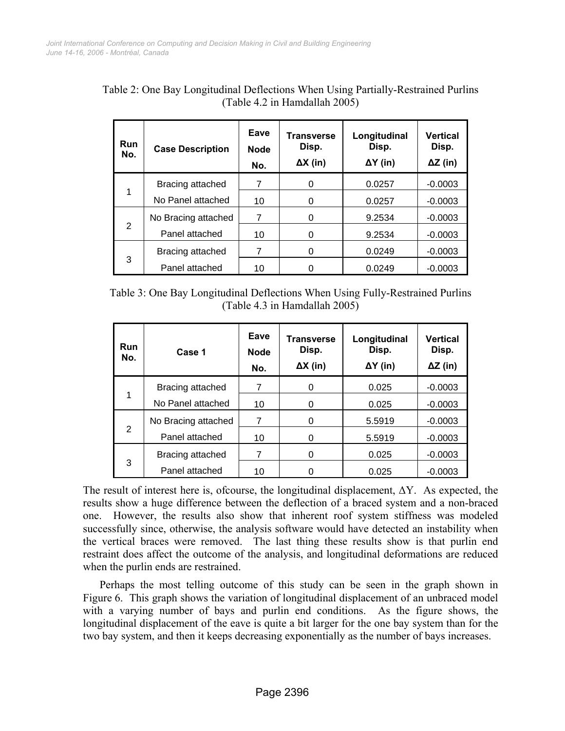| <b>Run</b><br>No. | <b>Case Description</b> | Eave<br><b>Node</b><br>No. | <b>Transverse</b><br>Disp.<br>$\Delta X$ (in) | Longitudinal<br>Disp.<br>$\Delta Y$ (in) | Vertical<br>Disp.<br>$\Delta Z$ (in) |
|-------------------|-------------------------|----------------------------|-----------------------------------------------|------------------------------------------|--------------------------------------|
| 1                 | Bracing attached        |                            | 0                                             | 0.0257                                   | $-0.0003$                            |
|                   | No Panel attached       | 10                         | 0                                             | 0.0257                                   | $-0.0003$                            |
| 2                 | No Bracing attached     | 7                          | 0                                             | 9.2534                                   | $-0.0003$                            |
|                   | Panel attached          | 10                         | 0                                             | 9.2534                                   | $-0.0003$                            |
| 3                 | Bracing attached        | 7                          | 0                                             | 0.0249                                   | $-0.0003$                            |
|                   | Panel attached          | 10                         |                                               | 0.0249                                   | $-0.0003$                            |

Table 2: One Bay Longitudinal Deflections When Using Partially-Restrained Purlins (Table 4.2 in Hamdallah 2005)

Table 3: One Bay Longitudinal Deflections When Using Fully-Restrained Purlins (Table 4.3 in Hamdallah 2005)

| <b>Run</b><br>No. | Case 1              | Eave<br><b>Node</b><br>No. | <b>Transverse</b><br>Disp.<br>$\Delta X$ (in) | Longitudinal<br>Disp.<br>$\Delta Y$ (in) | <b>Vertical</b><br>Disp.<br>$\Delta Z$ (in) |
|-------------------|---------------------|----------------------------|-----------------------------------------------|------------------------------------------|---------------------------------------------|
| 1                 | Bracing attached    | 7                          | 0                                             | 0.025                                    | $-0.0003$                                   |
|                   | No Panel attached   | 10                         | 0                                             | 0.025                                    | $-0.0003$                                   |
| 2                 | No Bracing attached | 7                          | 0                                             | 5.5919                                   | $-0.0003$                                   |
|                   | Panel attached      | 10                         | 0                                             | 5.5919                                   | $-0.0003$                                   |
| 3                 | Bracing attached    | 7                          | ∩                                             | 0.025                                    | $-0.0003$                                   |
|                   | Panel attached      | 10                         |                                               | 0.025                                    | $-0.0003$                                   |

The result of interest here is, ofcourse, the longitudinal displacement, ∆Y. As expected, the results show a huge difference between the deflection of a braced system and a non-braced one. However, the results also show that inherent roof system stiffness was modeled successfully since, otherwise, the analysis software would have detected an instability when the vertical braces were removed. The last thing these results show is that purlin end restraint does affect the outcome of the analysis, and longitudinal deformations are reduced when the purlin ends are restrained.

Perhaps the most telling outcome of this study can be seen in the graph shown in Figure 6. This graph shows the variation of longitudinal displacement of an unbraced model with a varying number of bays and purlin end conditions. As the figure shows, the longitudinal displacement of the eave is quite a bit larger for the one bay system than for the two bay system, and then it keeps decreasing exponentially as the number of bays increases.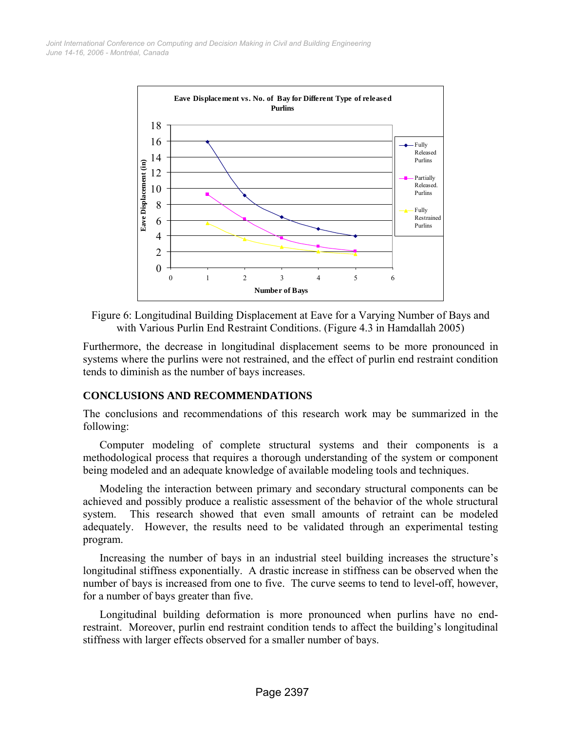

Figure 6: Longitudinal Building Displacement at Eave for a Varying Number of Bays and with Various Purlin End Restraint Conditions. (Figure 4.3 in Hamdallah 2005)

Furthermore, the decrease in longitudinal displacement seems to be more pronounced in systems where the purlins were not restrained, and the effect of purlin end restraint condition tends to diminish as the number of bays increases.

### **CONCLUSIONS AND RECOMMENDATIONS**

The conclusions and recommendations of this research work may be summarized in the following:

Computer modeling of complete structural systems and their components is a methodological process that requires a thorough understanding of the system or component being modeled and an adequate knowledge of available modeling tools and techniques.

Modeling the interaction between primary and secondary structural components can be achieved and possibly produce a realistic assessment of the behavior of the whole structural system. This research showed that even small amounts of retraint can be modeled adequately. However, the results need to be validated through an experimental testing program.

Increasing the number of bays in an industrial steel building increases the structure's longitudinal stiffness exponentially. A drastic increase in stiffness can be observed when the number of bays is increased from one to five. The curve seems to tend to level-off, however, for a number of bays greater than five.

Longitudinal building deformation is more pronounced when purlins have no endrestraint. Moreover, purlin end restraint condition tends to affect the building's longitudinal stiffness with larger effects observed for a smaller number of bays.